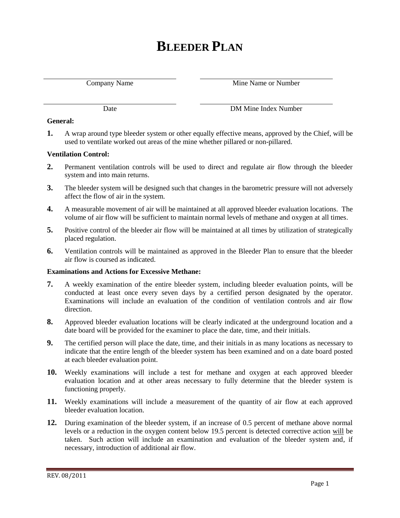# **BLEEDER PLAN**

Company Name Mine Name or Number

Date DM Mine Index Number

#### **General:**

**1.** A wrap around type bleeder system or other equally effective means, approved by the Chief, will be used to ventilate worked out areas of the mine whether pillared or non-pillared.

# **Ventilation Control:**

- **2.** Permanent ventilation controls will be used to direct and regulate air flow through the bleeder system and into main returns.
- **3.** The bleeder system will be designed such that changes in the barometric pressure will not adversely affect the flow of air in the system.
- **4.** A measurable movement of air will be maintained at all approved bleeder evaluation locations. The volume of air flow will be sufficient to maintain normal levels of methane and oxygen at all times.
- **5.** Positive control of the bleeder air flow will be maintained at all times by utilization of strategically placed regulation.
- **6.** Ventilation controls will be maintained as approved in the Bleeder Plan to ensure that the bleeder air flow is coursed as indicated.

#### **Examinations and Actions for Excessive Methane:**

- **7.** A weekly examination of the entire bleeder system, including bleeder evaluation points, will be conducted at least once every seven days by a certified person designated by the operator. Examinations will include an evaluation of the condition of ventilation controls and air flow direction.
- **8.** Approved bleeder evaluation locations will be clearly indicated at the underground location and a date board will be provided for the examiner to place the date, time, and their initials.
- **9.** The certified person will place the date, time, and their initials in as many locations as necessary to indicate that the entire length of the bleeder system has been examined and on a date board posted at each bleeder evaluation point.
- **10.** Weekly examinations will include a test for methane and oxygen at each approved bleeder evaluation location and at other areas necessary to fully determine that the bleeder system is functioning properly.
- **11.** Weekly examinations will include a measurement of the quantity of air flow at each approved bleeder evaluation location.
- **12.** During examination of the bleeder system, if an increase of 0.5 percent of methane above normal levels or a reduction in the oxygen content below 19.5 percent is detected corrective action will be taken. Such action will include an examination and evaluation of the bleeder system and, if necessary, introduction of additional air flow.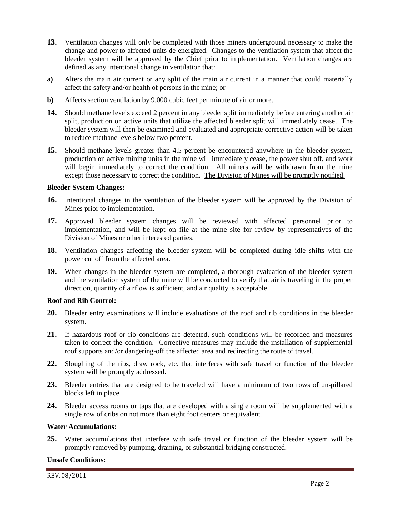- **13.** Ventilation changes will only be completed with those miners underground necessary to make the change and power to affected units de-energized. Changes to the ventilation system that affect the bleeder system will be approved by the Chief prior to implementation. Ventilation changes are defined as any intentional change in ventilation that:
- **a)** Alters the main air current or any split of the main air current in a manner that could materially affect the safety and/or health of persons in the mine; or
- **b)** Affects section ventilation by 9,000 cubic feet per minute of air or more.
- **14.** Should methane levels exceed 2 percent in any bleeder split immediately before entering another air split, production on active units that utilize the affected bleeder split will immediately cease. The bleeder system will then be examined and evaluated and appropriate corrective action will be taken to reduce methane levels below two percent.
- **15.** Should methane levels greater than 4.5 percent be encountered anywhere in the bleeder system, production on active mining units in the mine will immediately cease, the power shut off, and work will begin immediately to correct the condition. All miners will be withdrawn from the mine except those necessary to correct the condition. The Division of Mines will be promptly notified.

#### **Bleeder System Changes:**

- **16.** Intentional changes in the ventilation of the bleeder system will be approved by the Division of Mines prior to implementation.
- **17.** Approved bleeder system changes will be reviewed with affected personnel prior to implementation, and will be kept on file at the mine site for review by representatives of the Division of Mines or other interested parties.
- **18.** Ventilation changes affecting the bleeder system will be completed during idle shifts with the power cut off from the affected area.
- **19.** When changes in the bleeder system are completed, a thorough evaluation of the bleeder system and the ventilation system of the mine will be conducted to verify that air is traveling in the proper direction, quantity of airflow is sufficient, and air quality is acceptable.

#### **Roof and Rib Control:**

- **20.** Bleeder entry examinations will include evaluations of the roof and rib conditions in the bleeder system.
- **21.** If hazardous roof or rib conditions are detected, such conditions will be recorded and measures taken to correct the condition. Corrective measures may include the installation of supplemental roof supports and/or dangering-off the affected area and redirecting the route of travel.
- **22.** Sloughing of the ribs, draw rock, etc. that interferes with safe travel or function of the bleeder system will be promptly addressed.
- **23.** Bleeder entries that are designed to be traveled will have a minimum of two rows of un-pillared blocks left in place.
- **24.** Bleeder access rooms or taps that are developed with a single room will be supplemented with a single row of cribs on not more than eight foot centers or equivalent.

#### **Water Accumulations:**

**25.** Water accumulations that interfere with safe travel or function of the bleeder system will be promptly removed by pumping, draining, or substantial bridging constructed.

#### **Unsafe Conditions:**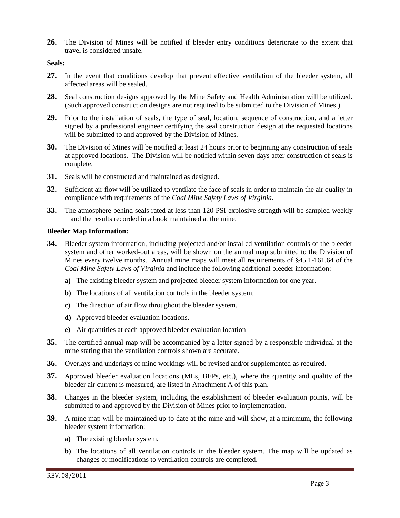**26.** The Division of Mines will be notified if bleeder entry conditions deteriorate to the extent that travel is considered unsafe.

# **Seals:**

- **27.** In the event that conditions develop that prevent effective ventilation of the bleeder system, all affected areas will be sealed.
- **28.** Seal construction designs approved by the Mine Safety and Health Administration will be utilized. (Such approved construction designs are not required to be submitted to the Division of Mines.)
- **29.** Prior to the installation of seals, the type of seal, location, sequence of construction, and a letter signed by a professional engineer certifying the seal construction design at the requested locations will be submitted to and approved by the Division of Mines.
- **30.** The Division of Mines will be notified at least 24 hours prior to beginning any construction of seals at approved locations. The Division will be notified within seven days after construction of seals is complete.
- **31.** Seals will be constructed and maintained as designed.
- **32.** Sufficient air flow will be utilized to ventilate the face of seals in order to maintain the air quality in compliance with requirements of the *Coal Mine Safety Laws of Virginia*.
- **33.** The atmosphere behind seals rated at less than 120 PSI explosive strength will be sampled weekly and the results recorded in a book maintained at the mine.

# **Bleeder Map Information:**

- **34.** Bleeder system information, including projected and/or installed ventilation controls of the bleeder system and other worked-out areas, will be shown on the annual map submitted to the Division of Mines every twelve months. Annual mine maps will meet all requirements of §45.1-161.64 of the *Coal Mine Safety Laws of Virginia* and include the following additional bleeder information:
	- **a)** The existing bleeder system and projected bleeder system information for one year.
	- **b)** The locations of all ventilation controls in the bleeder system.
	- **c)** The direction of air flow throughout the bleeder system.
	- **d)** Approved bleeder evaluation locations.
	- **e)** Air quantities at each approved bleeder evaluation location
- **35.** The certified annual map will be accompanied by a letter signed by a responsible individual at the mine stating that the ventilation controls shown are accurate.
- **36.** Overlays and underlays of mine workings will be revised and/or supplemented as required.
- **37.** Approved bleeder evaluation locations (MLs, BEPs, etc.), where the quantity and quality of the bleeder air current is measured, are listed in Attachment A of this plan.
- **38.** Changes in the bleeder system, including the establishment of bleeder evaluation points, will be submitted to and approved by the Division of Mines prior to implementation.
- **39.** A mine map will be maintained up-to-date at the mine and will show, at a minimum, the following bleeder system information:
	- **a)** The existing bleeder system.
	- **b)** The locations of all ventilation controls in the bleeder system. The map will be updated as changes or modifications to ventilation controls are completed.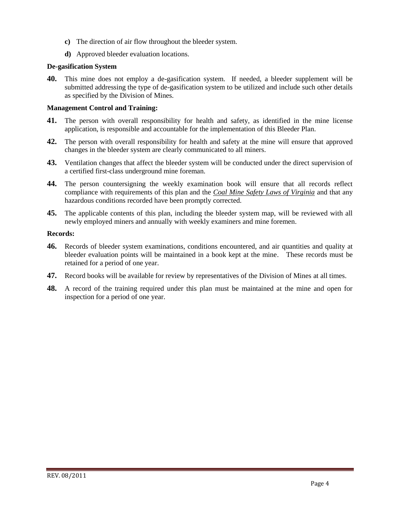- **c)** The direction of air flow throughout the bleeder system.
- **d)** Approved bleeder evaluation locations.

# **De-gasification System**

**40.** This mine does not employ a de-gasification system. If needed, a bleeder supplement will be submitted addressing the type of de-gasification system to be utilized and include such other details as specified by the Division of Mines.

# **Management Control and Training:**

- **41.** The person with overall responsibility for health and safety, as identified in the mine license application, is responsible and accountable for the implementation of this Bleeder Plan.
- **42.** The person with overall responsibility for health and safety at the mine will ensure that approved changes in the bleeder system are clearly communicated to all miners.
- **43.** Ventilation changes that affect the bleeder system will be conducted under the direct supervision of a certified first-class underground mine foreman.
- **44.** The person countersigning the weekly examination book will ensure that all records reflect compliance with requirements of this plan and the *Coal Mine Safety Laws of Virginia* and that any hazardous conditions recorded have been promptly corrected.
- **45.** The applicable contents of this plan, including the bleeder system map, will be reviewed with all newly employed miners and annually with weekly examiners and mine foremen.

# **Records:**

- **46.** Records of bleeder system examinations, conditions encountered, and air quantities and quality at bleeder evaluation points will be maintained in a book kept at the mine. These records must be retained for a period of one year.
- **47.** Record books will be available for review by representatives of the Division of Mines at all times.
- **48.** A record of the training required under this plan must be maintained at the mine and open for inspection for a period of one year.